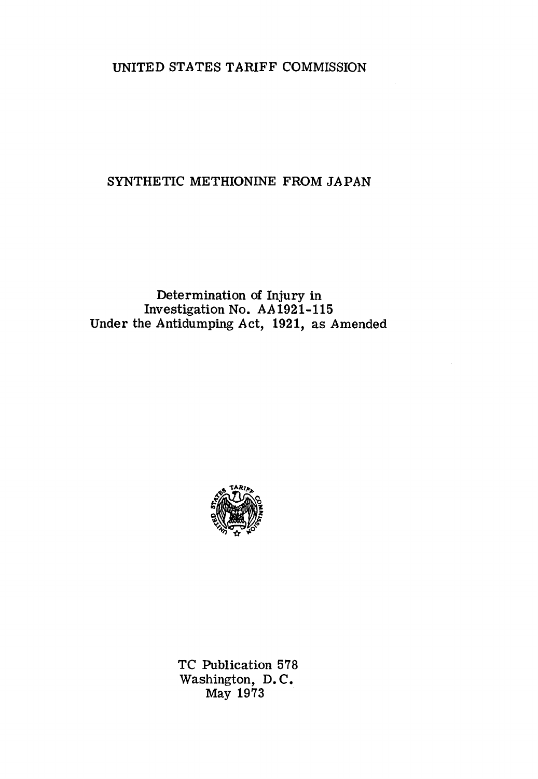## UNITED STATES TARIFF COMMISSION

## SYNTHETIC METHIONINE FROM JAPAN

## Determination of Injury in Investigation No. AA1921-115 Under the Antidumping Act, 1921, as Amended



TC Publication 578 Washington, D. C. May 1973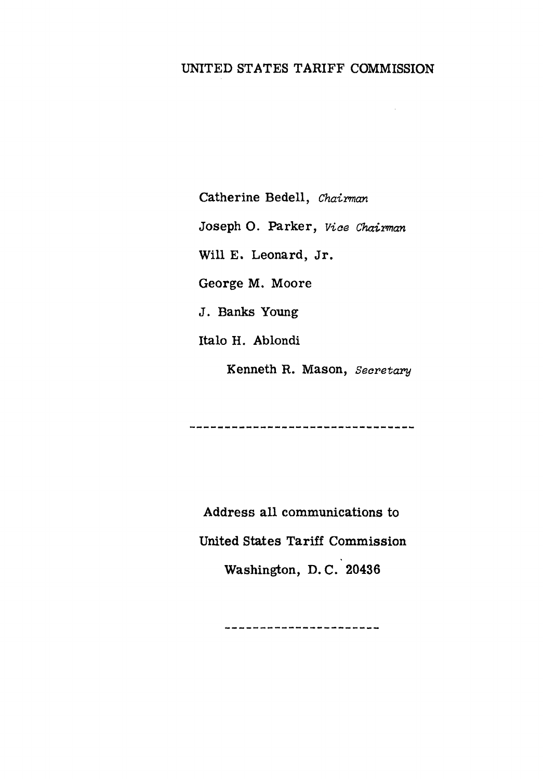# UNITED STATES TARIFF COMMISSION

Catherine Bedell, *Chairman*  Joseph O. Parker, *Viae Chairman*  Will E. Leonard, Jr. George M. Moore J. Banks Young Italo H. Ablondi Kenneth R. Mason, *Secretary* 

Address all communications to United States Tariff Commission Washington, D. C. 20436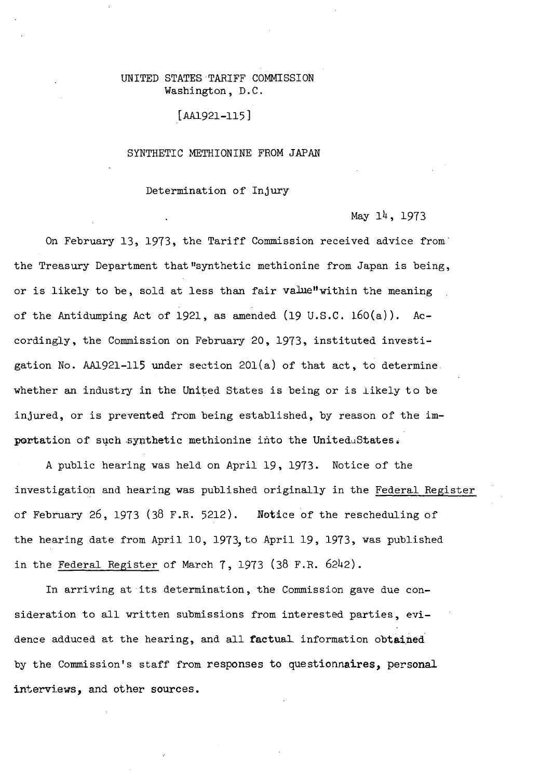#### UNITED STATES TARIFF COMMISSION Washington, D.C.

#### [AA1921-115]

#### SYNTHETIC METHIONINE FROM JAPAN

#### Determination of Injury

#### May 14, 1973

On February 13, 1973, the Tariff Commission received advice from· the Treasury Department that "synthetic methionine from Japan is being, or is likely to be, sold at less than fair value" within the meaning of the Antidumping Act of 1921, as amended  $(19 \text{ U.S.C. } 160(a))$ . Accordingly, the Commission on February 20, 1973, instituted investigation No. AA1921-115 under section  $201(a)$  of that act, to determine. whether an industry in the United States is being or is likely to be injured, or is prevented from being established, by reason of the importation of such synthetic methionine into the UniteduStates:

A public hearing was held on April 19, 1973. Notice of the investigation and hearing was published originally in the Federal Register of February 26, 1973 (38 F.R. 5212). Notice of the rescheduling of the hearing date from April 10, 1973, to April 19, 1973, was published in the Federal Register of March 7, 1973 (38 F.R. 6242).

In arriving at its determination, the Commission gave due consideration to all written submissions from interested parties, evidence adduced at the hearing, and all factual information obtained by the Commission's staff from responses to questionnaires, personal interviews, and other sources.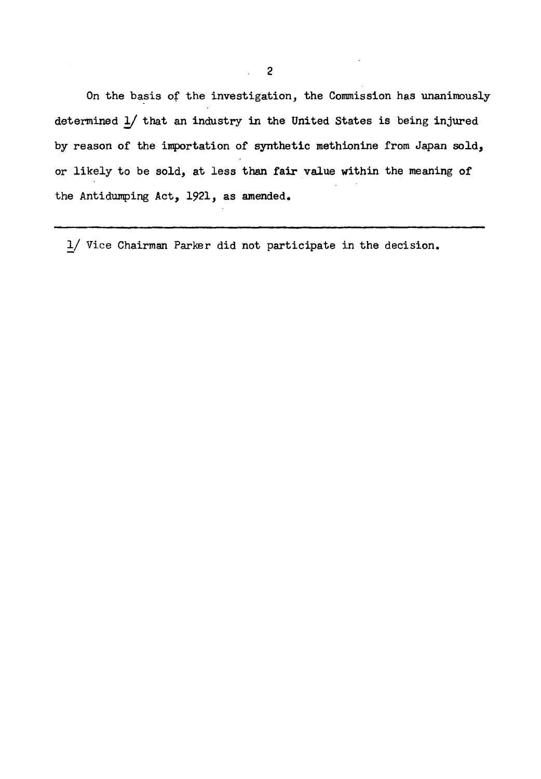On the basis of the investigation, the Commission has unanimously determined  $\frac{1}{2}$  that an industry in the United States is being injured by reason of the importation of synthetic methionine from Japan sold, or likely to be sold, at less than fair value within the meaning of the Antidumping Act, 1921, as amended.

!/ Vice Chairman Parker did not participate in the decision.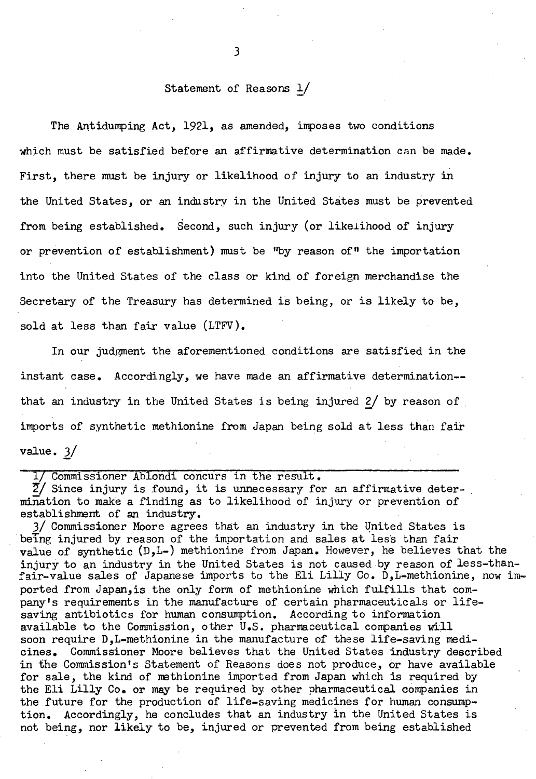#### Statement of Reasons !/

*3* 

The Antidumping Act, 1921, as amended, imposes two conditions which must be satisfied before an affirmative determination can be made. First, there must be injury or likelihood of injury to an industry in the United States, or an industry in the United States must be prevented from being established. Second, such injury (or likelihood of injury or prevention of establishment) must be "by reason of" the importation into the United States of the class or kind of foreign merchandise the Secretary of the Treasury has determined is being, or is likely to be, sold at less than fair value (LTFV).

In our judgment the aforementioned conditions are satisfied in the instant case. Accordingly, we have made an affirmative determination- that an industry in the United States is being injured  $2/$  by reason of imports of synthetic methionine from Japan being sold at less than fair value. *'}\_/* 

1/ Commissioner Ablondi concurs in the result.

 $\overline{2}$ / Since injury is found, it is unnecessary for an affirmative determination to make a finding as to likelihood of injury or prevention of establishment of an industry.

3/ Commissioner Moore agrees that an industry in the United States is being injured by reason of the importation and sales at less than fair value of synthetic (D,L-) methionine from Japan. However, he believes that the injury to an industry in the United States is not caused by reason of less-thanfair-value sales of Japanese imports to the Eli Lilly Co. D,L•methionine, now imported from Japan,is the only form of methionine which fulfills that company's requirements in the manufacture of certain pharmaceuticals or lifesaving antibiotics for human consumption. According to information available to the Commission, other U.S. pharmaceutical companies will soon require D,L-methionine in the manufacture of these life-saving medicines. Commissioner Moore believes that the United States industry described in the Commission's Statement of Reasons does not produce, or have available for sale, the kind of methionine imported from Japan which is required by the Eli Lilly Co. or may be required by other pharmaceutical companies in the future for the production of life-saving medicines for human consumption. Accordingly, he concludes that an industry in the United States is not being, nor likely to be, injured or prevented from being established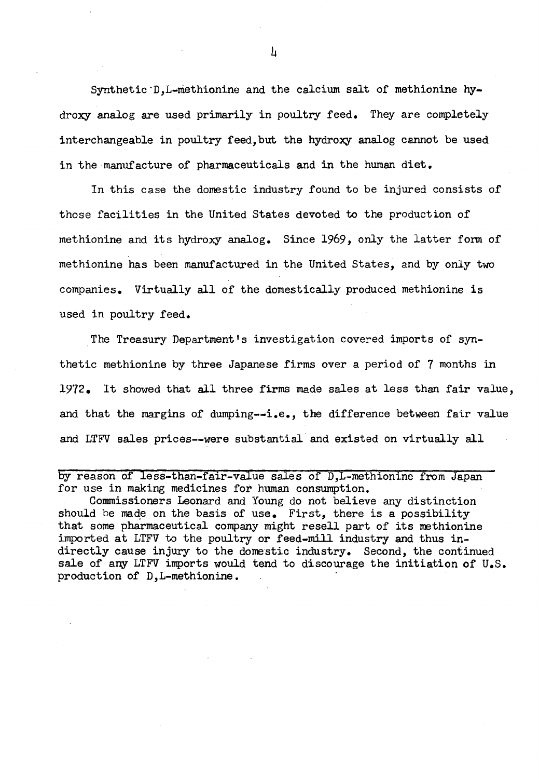Synthetic·D,L-methionine and the calcium salt of methionine hydroxy analog are used primarily in poultry feed. They are completely interchangeable in poultry feed,but the hydroxy analog cannot be used in the manufacture of pharmaceuticals and in the human diet.

In this case the domestic industry found to be injured consists of those facilities in the United States devoted to the production of methionine and its hydroxy analog. Since 1969, only the latter form of methionine has been manufactured in the United States, and by only two companies. Virtually all of the domestically produced methionine is used in poultry feed.

The Treasury Department's investigation covered imports of synthetic methionine by three Japanese firms over a period of 7 months in 1972. It showed that all three firms made sales at less than fair value, and that the margins of dumping--i.e., the difference between fair value and LTFV sales prices--were substantial and existed on virtually all

by reason of less-than-fair-value sales of D,L-methionine from Japan for use in making medicines for human consumption.

Commissioners Leonard and Young do not believe any distinction should be made on the basis of use. First, there is a possibility that some pharmaceutical company might resell part of its methionine imported at LTFV to the poultry or feed-mill industry and thus indirectly cause injury to the domestic industry. Second, the continued sale of any LTFV imports would tend to discourage the initiation of U.S. production of D,L-methionine.

 $\mathbf{h}$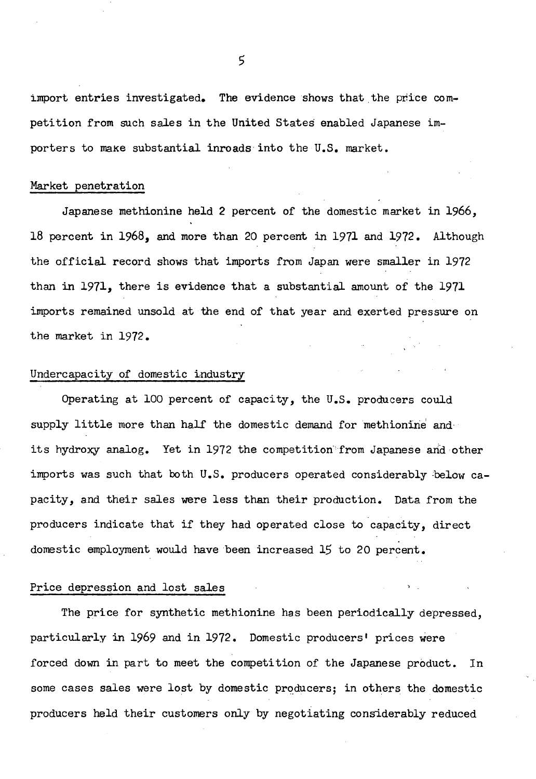import entries investigated. The evidence shows that the price competition from such sales in the United States enabled Japanese importers to make substantial inroads into the U.S. market.

#### Market penetration

Japanese methionine held 2 percent of the domestic market in 1966, 18 percent in 1968, and more than 20 percent in 1971 and 1972. Although the official record shows that imports from Japan were smaller in 1972 than in 1971, there is evidence that a substantial amount of the 1971 imports remained unsold at the end of that year and exerted pressure on the market in 1972.

#### Undercapacity of domestic industry

Operating at 100 percent of capacity, the U.S. producers could supply little more than half the domestic demand for methionine and· its hydroxy analog. Yet in 1972 the competition· from Japanese and other imports was such that both U.S. producers operated considerably below capacity, and their sales were less than their production. Data from the producers indicate that if they had operated close to capacity, direct domestic employment would have been increased 15 to 20 percent.

#### Price depression and lost sales

The price for synthetic methionine has been periodically depressed, particularly in 1969 and in 1972. Domestic producers' prices were forced down in part to meet the competition of the Japanese product. In some cases sales were lost by domestic producers; in others the domestic producers held their customers only by negotiating considerably reduced

5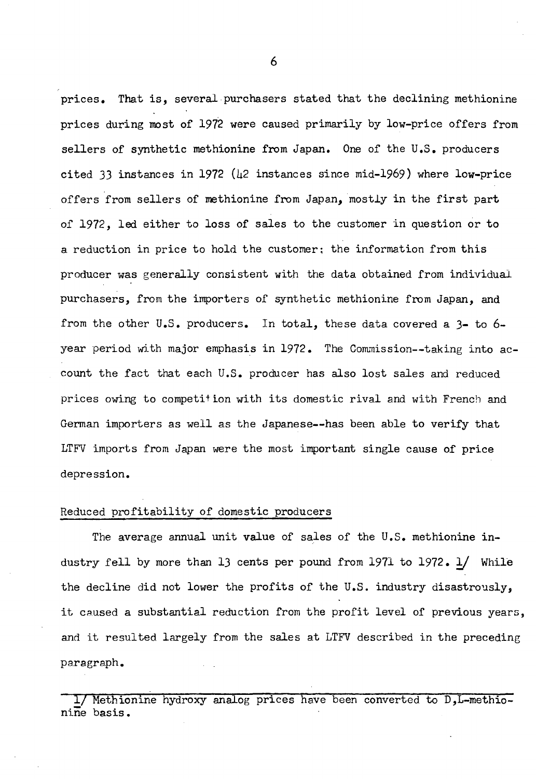prices. That is, several purchasers stated that the declining methionine prices during most of 1972 were caused primarily by low-price offers from sellers of synthetic methionine from Japan. One of the U.S. producers cited 33 instances in 1972 ( $\mu$ 2 instances since mid-1969) where low-price offers from sellers of methionine from Japan, mostly in the first part of 1972, led either to loss of sales to the customer in question or to a reduction in price to hold the customer; the information from this producer was generally consistent with the data obtained from individual purchasers, from the importers of synthetic methionine from Japan, and from the other U.S. producers. In total, these data covered a 3- to 6 year period with major emphasis in 1972. The Commission--taking into account the fact that each U.S. producer has also lost sales and reduced prices owing to competition with its domestic rival and with French and German importers as well as the Japanese--has been able to verify that LTFV imports from Japan were the most important single cause of price depression.

#### Reduced profitability of domestic producers

The average annual unit value of sales of the U.S. methionine industry fell by more than 13 cents per pound from 1971 to 1972. *!J* While the decline did not lower the profits of the U.S. industry disastrously, it caused a substantial reduction from the profit level of previous years, and it resulted largely from the sales at LTFV described in the preceding paragraph.

1/ Methionine hydroxy analog prices have been converted to D, L-methionine basis.

6